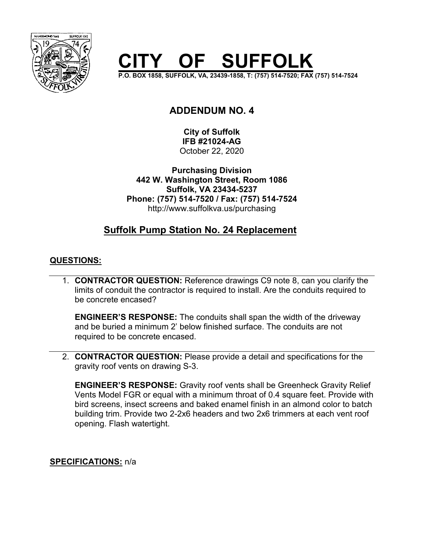

# **F SUFFOLK**

**P.O. BOX 1858, SUFFOLK, VA, 23439-1858, T: (757) 514-7520; FAX (757) 514-7524**

# **ADDENDUM NO. 4**

**City of Suffolk IFB #21024-AG** October 22, 2020

**Purchasing Division 442 W. Washington Street, Room 1086 Suffolk, VA 23434-5237 Phone: (757) 514-7520 / Fax: (757) 514-7524** http://www.suffolkva.us/purchasing

# **Suffolk Pump Station No. 24 Replacement**

## **QUESTIONS:**

1. **CONTRACTOR QUESTION:** Reference drawings C9 note 8, can you clarify the limits of conduit the contractor is required to install. Are the conduits required to be concrete encased?

**ENGINEER'S RESPONSE:** The conduits shall span the width of the driveway and be buried a minimum 2' below finished surface. The conduits are not required to be concrete encased.

2. **CONTRACTOR QUESTION:** Please provide a detail and specifications for the gravity roof vents on drawing S-3.

**ENGINEER'S RESPONSE:** Gravity roof vents shall be Greenheck Gravity Relief Vents Model FGR or equal with a minimum throat of 0.4 square feet. Provide with bird screens, insect screens and baked enamel finish in an almond color to batch building trim. Provide two 2-2x6 headers and two 2x6 trimmers at each vent roof opening. Flash watertight.

## **SPECIFICATIONS:** n/a